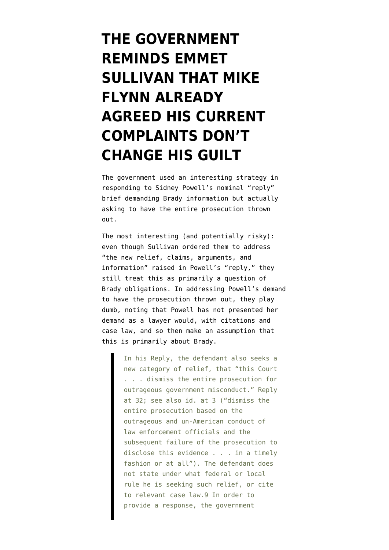## **[THE GOVERNMENT](https://www.emptywheel.net/2019/11/01/the-government-reminds-emmet-sullivan-that-mike-flynn-already-agreed-his-current-complaints-dont-change-his-guilt/) [REMINDS EMMET](https://www.emptywheel.net/2019/11/01/the-government-reminds-emmet-sullivan-that-mike-flynn-already-agreed-his-current-complaints-dont-change-his-guilt/) [SULLIVAN THAT MIKE](https://www.emptywheel.net/2019/11/01/the-government-reminds-emmet-sullivan-that-mike-flynn-already-agreed-his-current-complaints-dont-change-his-guilt/) [FLYNN ALREADY](https://www.emptywheel.net/2019/11/01/the-government-reminds-emmet-sullivan-that-mike-flynn-already-agreed-his-current-complaints-dont-change-his-guilt/) [AGREED HIS CURRENT](https://www.emptywheel.net/2019/11/01/the-government-reminds-emmet-sullivan-that-mike-flynn-already-agreed-his-current-complaints-dont-change-his-guilt/) [COMPLAINTS DON'T](https://www.emptywheel.net/2019/11/01/the-government-reminds-emmet-sullivan-that-mike-flynn-already-agreed-his-current-complaints-dont-change-his-guilt/) [CHANGE HIS GUILT](https://www.emptywheel.net/2019/11/01/the-government-reminds-emmet-sullivan-that-mike-flynn-already-agreed-his-current-complaints-dont-change-his-guilt/)**

The government used an interesting strategy in [responding](https://www.documentcloud.org/documents/6536278-191101-Flynn-Surreply.html) to Sidney Powell's nominal "[reply](https://www.courtlistener.com/recap/gov.uscourts.dcd.191592/gov.uscourts.dcd.191592.129.2_1.pdf)" brief demanding Brady information but actually asking to have the entire prosecution thrown out.

The most interesting (and potentially risky): even though Sullivan ordered them to address "the new relief, claims, arguments, and information" raised in Powell's "reply," they still treat this as primarily a question of Brady obligations. In addressing Powell's demand to have the prosecution thrown out, they play dumb, noting that Powell has not presented her demand as a lawyer would, with citations and case law, and so then make an assumption that this is primarily about Brady.

> In his Reply, the defendant also seeks a new category of relief, that "this Court . . . dismiss the entire prosecution for outrageous government misconduct." Reply at 32; see also id. at 3 ("dismiss the entire prosecution based on the outrageous and un-American conduct of law enforcement officials and the subsequent failure of the prosecution to disclose this evidence . . . in a timely fashion or at all"). The defendant does not state under what federal or local rule he is seeking such relief, or cite to relevant case law.9 In order to provide a response, the government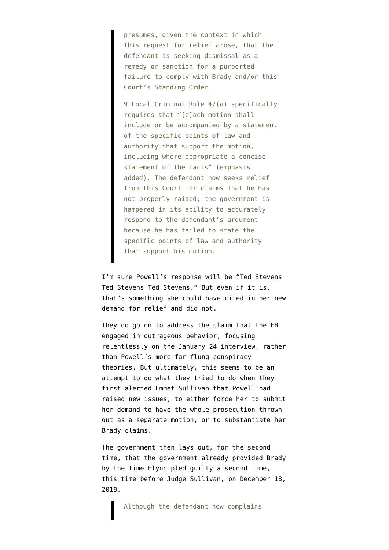presumes, given the context in which this request for relief arose, that the defendant is seeking dismissal as a remedy or sanction for a purported failure to comply with Brady and/or this Court's Standing Order.

9 Local Criminal Rule 47(a) specifically requires that "[e]ach motion shall include or be accompanied by a statement of the specific points of law and authority that support the motion, including where appropriate a concise statement of the facts" (emphasis added). The defendant now seeks relief from this Court for claims that he has not properly raised; the government is hampered in its ability to accurately respond to the defendant's argument because he has failed to state the specific points of law and authority that support his motion.

I'm sure Powell's response will be "Ted Stevens Ted Stevens Ted Stevens." But even if it is, that's something she could have cited in her new demand for relief and did not.

They do go on to address the claim that the FBI engaged in outrageous behavior, focusing relentlessly on the January 24 interview, rather than Powell's more far-flung conspiracy theories. But ultimately, this seems to be an attempt to do what they tried to do when they first [alerted](https://www.courtlistener.com/recap/gov.uscourts.dcd.191592/gov.uscourts.dcd.191592.131.0_4.pdf) Emmet Sullivan that Powell had raised new issues, to either force her to submit her demand to have the whole prosecution thrown out as a separate motion, or to substantiate her Brady claims.

The government then lays out, for the second time, that the government already provided Brady by the time Flynn pled guilty a second time, this time before Judge Sullivan, on December 18, 2018.

Although the defendant now complains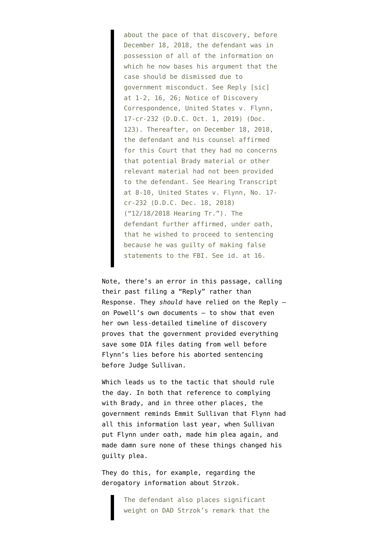about the pace of that discovery, before December 18, 2018, the defendant was in possession of all of the information on which he now bases his argument that the case should be dismissed due to government misconduct. See Reply [sic] at 1-2, 16, 26; Notice of Discovery Correspondence, United States v. Flynn, 17-cr-232 (D.D.C. Oct. 1, 2019) (Doc. 123). Thereafter, on December 18, 2018, the defendant and his counsel affirmed for this Court that they had no concerns that potential Brady material or other relevant material had not been provided to the defendant. See Hearing Transcript at 8-10, United States v. Flynn, No. 17 cr-232 (D.D.C. Dec. 18, 2018) ("12/18/2018 Hearing Tr."). The defendant further affirmed, under oath, that he wished to proceed to sentencing because he was guilty of making false statements to the FBI. See id. at 16.

Note, there's an error in this passage, calling their past filing a "Reply" rather than Response. They *should* have relied on the Reply on Powell's own documents — to show that even her own [less-detailed timeline](https://www.courtlistener.com/recap/gov.uscourts.dcd.191592/gov.uscourts.dcd.191592.129.17.pdf) of discovery proves that the government provided everything save some DIA files dating from well before Flynn's lies before his aborted sentencing before Judge Sullivan.

Which leads us to the tactic that should rule the day. In both that reference to complying with Brady, and in three other places, the government reminds Emmit Sullivan that Flynn had all this information last year, when Sullivan put Flynn under oath, made him plea again, and made damn sure none of these things changed his guilty plea.

They do this, for example, regarding the derogatory information about Strzok.

> The defendant also places significant weight on DAD Strzok's remark that the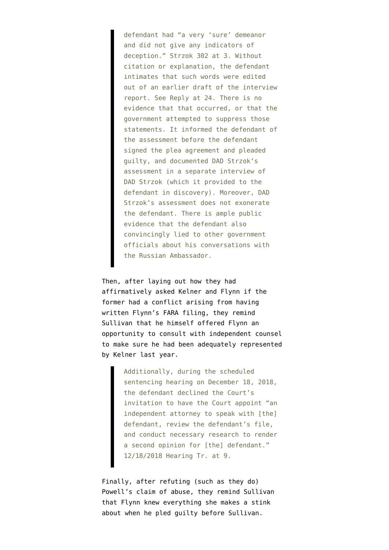defendant had "a very 'sure' demeanor and did not give any indicators of deception." Strzok 302 at 3. Without citation or explanation, the defendant intimates that such words were edited out of an earlier draft of the interview report. See Reply at 24. There is no evidence that that occurred, or that the government attempted to suppress those statements. It informed the defendant of the assessment before the defendant signed the plea agreement and pleaded guilty, and documented DAD Strzok's assessment in a separate interview of DAD Strzok (which it provided to the defendant in discovery). Moreover, DAD Strzok's assessment does not exonerate the defendant. There is ample public evidence that the defendant also convincingly lied to other government officials about his conversations with the Russian Ambassador.

Then, after laying out how they had affirmatively asked Kelner and Flynn if the former had a conflict arising from having written Flynn's FARA filing, they remind Sullivan that he himself offered Flynn an opportunity to consult with independent counsel to make sure he had been adequately represented by Kelner last year.

> Additionally, during the scheduled sentencing hearing on December 18, 2018, the defendant declined the Court's invitation to have the Court appoint "an independent attorney to speak with [the] defendant, review the defendant's file, and conduct necessary research to render a second opinion for [the] defendant." 12/18/2018 Hearing Tr. at 9.

Finally, after refuting (such as they do) Powell's claim of abuse, they remind Sullivan that Flynn knew everything she makes a stink about when he pled guilty before Sullivan.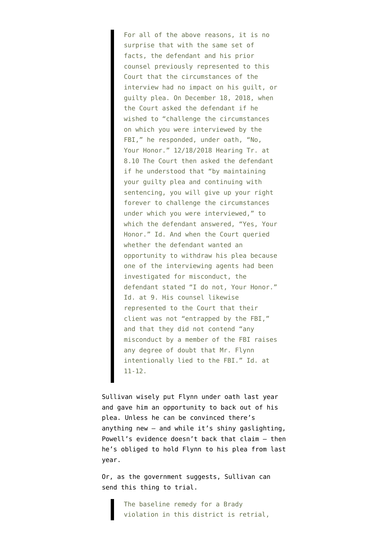For all of the above reasons, it is no surprise that with the same set of facts, the defendant and his prior counsel previously represented to this Court that the circumstances of the interview had no impact on his guilt, or guilty plea. On December 18, 2018, when the Court asked the defendant if he wished to "challenge the circumstances on which you were interviewed by the FBI," he responded, under oath, "No, Your Honor." 12/18/2018 Hearing Tr. at 8.10 The Court then asked the defendant if he understood that "by maintaining your guilty plea and continuing with sentencing, you will give up your right forever to challenge the circumstances under which you were interviewed," to which the defendant answered, "Yes, Your Honor." Id. And when the Court queried whether the defendant wanted an opportunity to withdraw his plea because one of the interviewing agents had been investigated for misconduct, the defendant stated "I do not, Your Honor." Id. at 9. His counsel likewise represented to the Court that their client was not "entrapped by the FBI," and that they did not contend "any misconduct by a member of the FBI raises any degree of doubt that Mr. Flynn intentionally lied to the FBI." Id. at 11-12.

Sullivan wisely put Flynn under oath last year and gave him an opportunity to back out of his plea. Unless he can be convinced there's anything new — and while it's shiny gaslighting, [Powell's evidence doesn't back that claim](https://www.emptywheel.net/2019/10/28/how-sidney-powell-misrepresents-her-evidence-in-her-fake-brady-motion/) — then he's obliged to hold Flynn to his plea from last year.

Or, as the government suggests, Sullivan can send this thing to trial.

> The baseline remedy for a Brady violation in this district is retrial,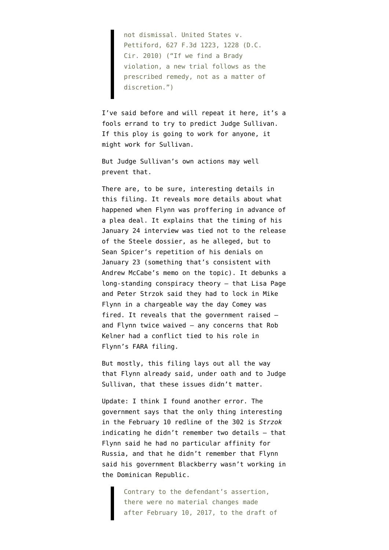not dismissal. United States v. Pettiford, 627 F.3d 1223, 1228 (D.C. Cir. 2010) ("If we find a Brady violation, a new trial follows as the prescribed remedy, not as a matter of discretion.")

I've said before and will repeat it here, it's a fools errand to try to predict Judge Sullivan. If this ploy is going to work for anyone, it might work for Sullivan.

But Judge Sullivan's own actions may well prevent that.

There are, to be sure, interesting details in this filing. It reveals more details about what happened when Flynn was proffering in advance of a plea deal. It explains that the timing of his January 24 interview was tied not to the release of the Steele dossier, as he alleged, but to Sean Spicer's repetition of his denials on January 23 (something that's consistent with Andrew McCabe's memo on the topic). It debunks a long-standing conspiracy theory — that Lisa Page and Peter Strzok said they had to lock in Mike Flynn in a chargeable way the day Comey was fired. It reveals that the government raised and Flynn twice waived — any concerns that Rob Kelner had a conflict tied to his role in Flynn's FARA filing.

But mostly, this filing lays out all the way that Flynn already said, under oath and to Judge Sullivan, that these issues didn't matter.

Update: I think I found another error. The government says that the only thing interesting in the [February 10 redline](https://www.courtlistener.com/recap/gov.uscourts.dcd.191592/gov.uscourts.dcd.191592.129.13.pdf) of the 302 is *Strzok* indicating he didn't remember two details — that Flynn said he had no particular affinity for Russia, and that he didn't remember that Flynn said his government Blackberry wasn't working in the Dominican Republic.

> Contrary to the defendant's assertion, there were no material changes made after February 10, 2017, to the draft of